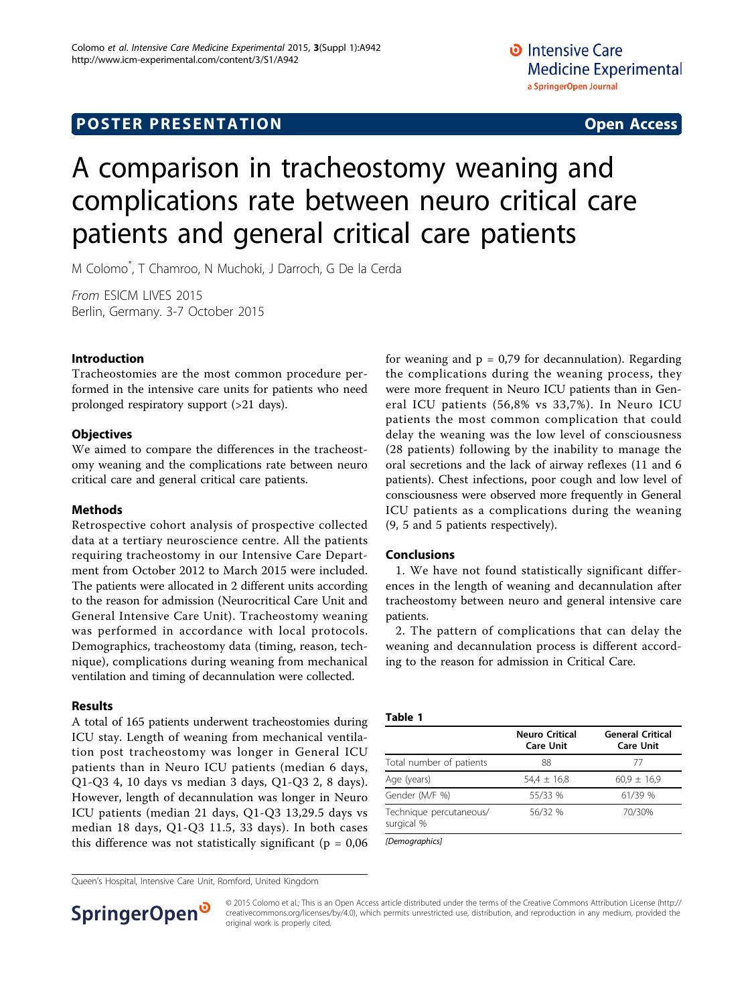# **POSTER PRESENTATION CONSUMING THE SERVICE SERVICE SERVICES**

# A comparison in tracheostomy weaning and complications rate between neuro critical care patients and general critical care patients

M Colomo\* , T Chamroo, N Muchoki, J Darroch, G De la Cerda

From ESICM LIVES 2015 Berlin, Germany. 3-7 October 2015

## Introduction

Tracheostomies are the most common procedure performed in the intensive care units for patients who need prolonged respiratory support (>21 days).

## **Objectives**

We aimed to compare the differences in the tracheostomy weaning and the complications rate between neuro critical care and general critical care patients.

#### Methods

Retrospective cohort analysis of prospective collected data at a tertiary neuroscience centre. All the patients requiring tracheostomy in our Intensive Care Department from October 2012 to March 2015 were included. The patients were allocated in 2 different units according to the reason for admission (Neurocritical Care Unit and General Intensive Care Unit). Tracheostomy weaning was performed in accordance with local protocols. Demographics, tracheostomy data (timing, reason, technique), complications during weaning from mechanical ventilation and timing of decannulation were collected.

#### Results

A total of 165 patients underwent tracheostomies during ICU stay. Length of weaning from mechanical ventilation post tracheostomy was longer in General ICU patients than in Neuro ICU patients (median 6 days, Q1-Q3 4, 10 days vs median 3 days, Q1-Q3 2, 8 days). However, length of decannulation was longer in Neuro ICU patients (median 21 days, Q1-Q3 13,29.5 days vs median 18 days, Q1-Q3 11.5, 33 days). In both cases this difference was not statistically significant ( $p = 0.06$ ) for weaning and  $p = 0.79$  for decannulation). Regarding the complications during the weaning process, they were more frequent in Neuro ICU patients than in General ICU patients (56,8% vs 33,7%). In Neuro ICU patients the most common complication that could delay the weaning was the low level of consciousness (28 patients) following by the inability to manage the oral secretions and the lack of airway reflexes (11 and 6 patients). Chest infections, poor cough and low level of consciousness were observed more frequently in General ICU patients as a complications during the weaning (9, 5 and 5 patients respectively).

## Conclusions

1. We have not found statistically significant differences in the length of weaning and decannulation after tracheostomy between neuro and general intensive care patients.

2. The pattern of complications that can delay the weaning and decannulation process is different according to the reason for admission in Critical Care.

| ۰.<br>$\sim$<br>M.<br>. .<br>. . |  |
|----------------------------------|--|
|----------------------------------|--|

|                                       | <b>Neuro Critical</b><br><b>Care Unit</b> | <b>General Critical</b><br><b>Care Unit</b> |
|---------------------------------------|-------------------------------------------|---------------------------------------------|
| Total number of patients              | 88                                        | 77                                          |
| Age (years)                           | $54.4 \pm 16.8$                           | $60.9 \pm 16.9$                             |
| Gender (M/F %)                        | 55/33 %                                   | 61/39 %                                     |
| Technique percutaneous/<br>surgical % | 56/32 %                                   | 70/30%                                      |

[Demographics]

Queen's Hospital, Intensive Care Unit, Romford, United Kingdom



© 2015 Colomo et al.; This is an Open Access article distributed under the terms of the Creative Commons Attribution License [\(http://](http://creativecommons.org/licenses/by/4.0) [creativecommons.org/licenses/by/4.0](http://creativecommons.org/licenses/by/4.0)), which permits unrestricted use, distribution, and reproduction in any medium, provided the original work is properly cited.